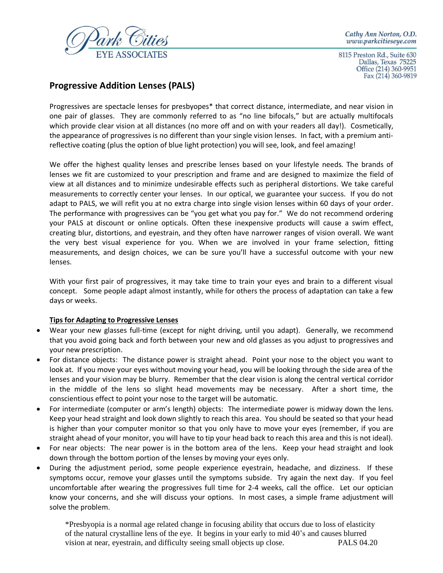

Cathy Ann Norton, O.D. www.parkcitieseye.com

8115 Preston Rd., Suite 630 Dallas, Texas 75225 Office (214) 360-9951 Fax (214) 360-9819

## **Progressive Addition Lenses (PALS)**

Progressives are spectacle lenses for presbyopes\* that correct distance, intermediate, and near vision in one pair of glasses. They are commonly referred to as "no line bifocals," but are actually multifocals which provide clear vision at all distances (no more off and on with your readers all day!). Cosmetically, the appearance of progressives is no different than your single vision lenses. In fact, with a premium antireflective coating (plus the option of blue light protection) you will see, look, and feel amazing!

We offer the highest quality lenses and prescribe lenses based on your lifestyle needs. The brands of lenses we fit are customized to your prescription and frame and are designed to maximize the field of view at all distances and to minimize undesirable effects such as peripheral distortions. We take careful measurements to correctly center your lenses. In our optical, we guarantee your success. If you do not adapt to PALS, we will refit you at no extra charge into single vision lenses within 60 days of your order. The performance with progressives can be "you get what you pay for." We do not recommend ordering your PALS at discount or online opticals. Often these inexpensive products will cause a swim effect, creating blur, distortions, and eyestrain, and they often have narrower ranges of vision overall. We want the very best visual experience for you. When we are involved in your frame selection, fitting measurements, and design choices, we can be sure you'll have a successful outcome with your new lenses.

With your first pair of progressives, it may take time to train your eyes and brain to a different visual concept. Some people adapt almost instantly, while for others the process of adaptation can take a few days or weeks.

## **Tips for Adapting to Progressive Lenses**

- Wear your new glasses full-time (except for night driving, until you adapt). Generally, we recommend that you avoid going back and forth between your new and old glasses as you adjust to progressives and your new prescription.
- For distance objects: The distance power is straight ahead. Point your nose to the object you want to look at. If you move your eyes without moving your head, you will be looking through the side area of the lenses and your vision may be blurry. Remember that the clear vision is along the central vertical corridor in the middle of the lens so slight head movements may be necessary. After a short time, the conscientious effect to point your nose to the target will be automatic.
- For intermediate (computer or arm's length) objects: The intermediate power is midway down the lens. Keep your head straight and look down slightly to reach this area. You should be seated so that your head is higher than your computer monitor so that you only have to move your eyes (remember, if you are straight ahead of your monitor, you will have to tip your head back to reach this area and this is not ideal).
- For near objects: The near power is in the bottom area of the lens. Keep your head straight and look down through the bottom portion of the lenses by moving your eyes only.
- During the adjustment period, some people experience eyestrain, headache, and dizziness. If these symptoms occur, remove your glasses until the symptoms subside. Try again the next day. If you feel uncomfortable after wearing the progressives full time for 2-4 weeks, call the office. Let our optician know your concerns, and she will discuss your options. In most cases, a simple frame adjustment will solve the problem.

\*Presbyopia is a normal age related change in focusing ability that occurs due to loss of elasticity of the natural crystalline lens of the eye. It begins in your early to mid 40's and causes blurred vision at near, eyestrain, and difficulty seeing small objects up close. PALS 04.20